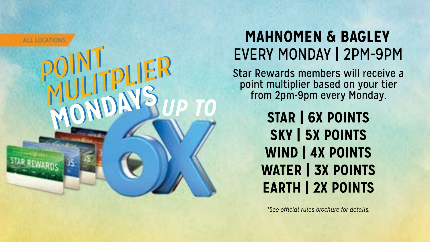

## **MAHNOMEN & BAGLEY** EVERY MONDAY | 2PM-9PM

Star Rewards members will receive a<br>point multiplier based on your tier from 2pm-9pm every Monday.

> **STAR | 6X POINTS** SKY | 5X POINTS WIND | 4X POINTS WATER | 3X POINTS **EARTH | 2X POINTS**

*\*Seeofficialrulesbrochurefordetails.*